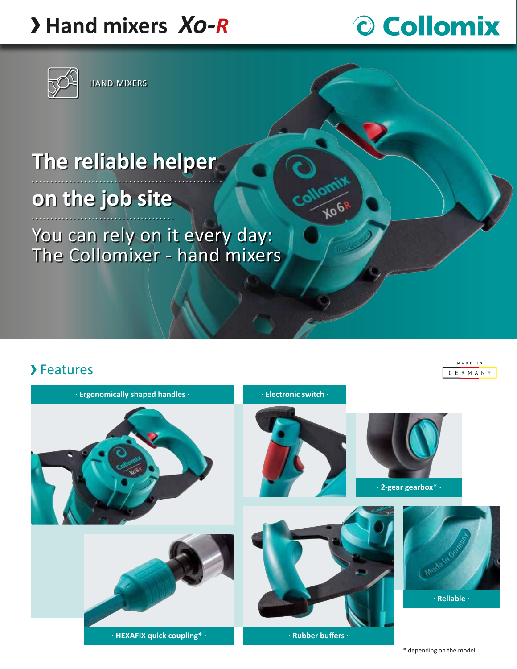## **Hand mixers** *Xo-R*



HAND-MIXERS

# O Collomix

# **The reliable helper**

### **on the job site**

You can rely on it every day: The Collomixer - hand mixers

#### >Features

 $M$  A D E  $+$  N G E R M A N Y



**HOGY**